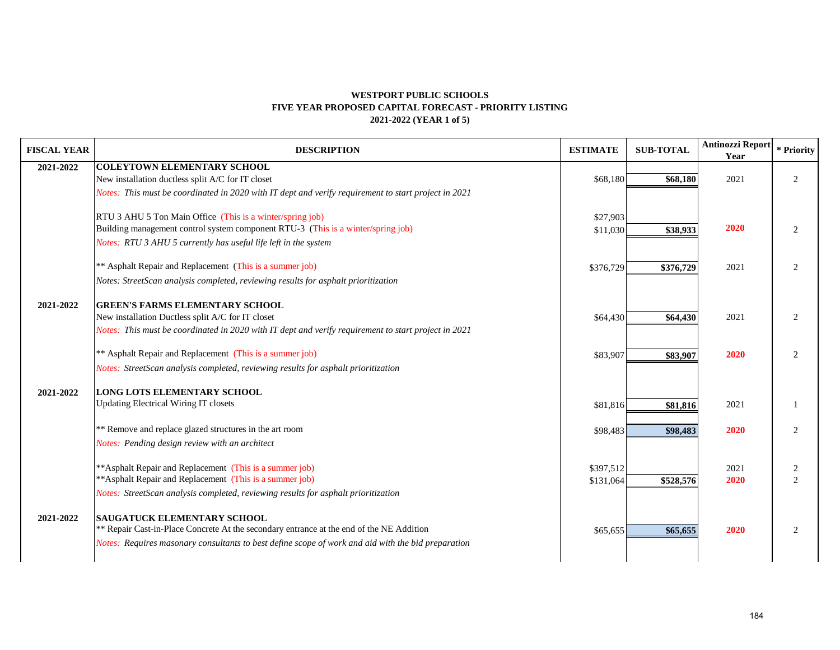### **WESTPORT PUBLIC SCHOOLS 2021-2022 (YEAR 1 of 5) FIVE YEAR PROPOSED CAPITAL FORECAST - PRIORITY LISTING**

| <b>FISCAL YEAR</b> | <b>DESCRIPTION</b>                                                                                   | <b>ESTIMATE</b>        | <b>SUB-TOTAL</b> | Antinozzi Report<br>Year | * Priority          |
|--------------------|------------------------------------------------------------------------------------------------------|------------------------|------------------|--------------------------|---------------------|
| 2021-2022          | <b>COLEYTOWN ELEMENTARY SCHOOL</b>                                                                   |                        |                  |                          |                     |
|                    | New installation ductless split A/C for IT closet                                                    | \$68,180               | \$68,180         | 2021                     | 2                   |
|                    | Notes: This must be coordinated in 2020 with IT dept and verify requirement to start project in 2021 |                        |                  |                          |                     |
|                    | RTU 3 AHU 5 Ton Main Office (This is a winter/spring job)                                            | \$27,903               |                  |                          |                     |
|                    | Building management control system component RTU-3 (This is a winter/spring job)                     | \$11,030               | \$38,933         | 2020                     | 2                   |
|                    | Notes: RTU 3 AHU 5 currently has useful life left in the system                                      |                        |                  |                          |                     |
|                    | ** Asphalt Repair and Replacement (This is a summer job)                                             | \$376,729              | \$376,729        | 2021                     | 2                   |
|                    | Notes: StreetScan analysis completed, reviewing results for asphalt prioritization                   |                        |                  |                          |                     |
| 2021-2022          | <b>GREEN'S FARMS ELEMENTARY SCHOOL</b>                                                               |                        |                  |                          |                     |
|                    | New installation Ductless split A/C for IT closet                                                    | \$64,430               | \$64,430         | 2021                     | 2                   |
|                    | Notes: This must be coordinated in 2020 with IT dept and verify requirement to start project in 2021 |                        |                  |                          |                     |
|                    | ** Asphalt Repair and Replacement (This is a summer job)                                             | \$83,907               | \$83,907         | 2020                     | 2                   |
|                    | Notes: StreetScan analysis completed, reviewing results for asphalt prioritization                   |                        |                  |                          |                     |
| 2021-2022          | <b>LONG LOTS ELEMENTARY SCHOOL</b>                                                                   |                        |                  |                          |                     |
|                    | <b>Updating Electrical Wiring IT closets</b>                                                         | \$81,816               | \$81,816         | 2021                     | -1                  |
|                    | ** Remove and replace glazed structures in the art room                                              | \$98,483               | \$98,483         | 2020                     | 2                   |
|                    | Notes: Pending design review with an architect                                                       |                        |                  |                          |                     |
|                    | ** Asphalt Repair and Replacement (This is a summer job)                                             |                        |                  |                          |                     |
|                    | ** Asphalt Repair and Replacement (This is a summer job)                                             | \$397,512<br>\$131,064 | \$528,576        | 2021<br>2020             | $\overline{2}$<br>2 |
|                    | Notes: StreetScan analysis completed, reviewing results for asphalt prioritization                   |                        |                  |                          |                     |
|                    |                                                                                                      |                        |                  |                          |                     |
| 2021-2022          | <b>SAUGATUCK ELEMENTARY SCHOOL</b>                                                                   |                        |                  |                          |                     |
|                    | ** Repair Cast-in-Place Concrete At the secondary entrance at the end of the NE Addition             | \$65,655               | \$65,655         | 2020                     | 2                   |
|                    | Notes: Requires masonary consultants to best define scope of work and aid with the bid preparation   |                        |                  |                          |                     |
|                    |                                                                                                      |                        |                  |                          |                     |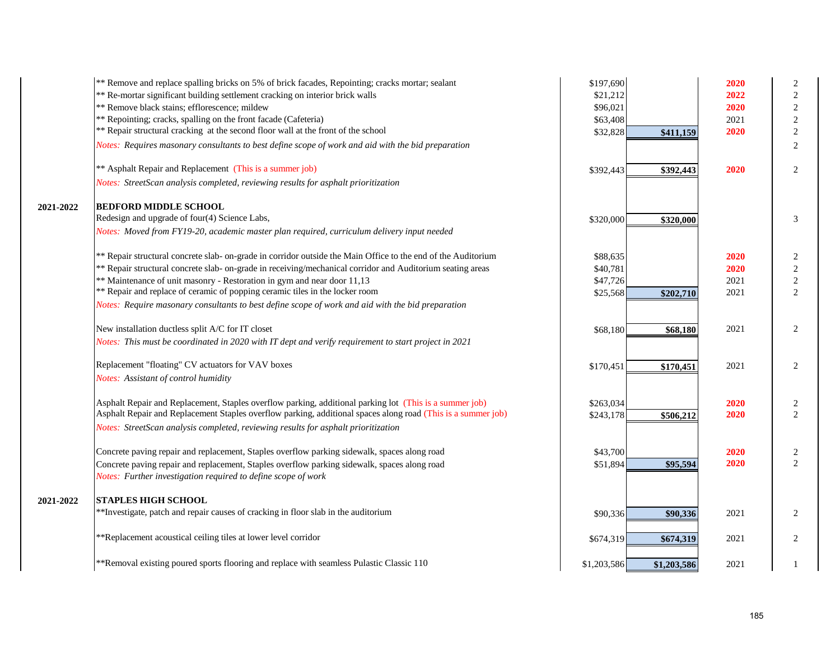|           | ** Remove and replace spalling bricks on 5% of brick facades, Repointing; cracks mortar; sealant              | \$197,690   |             | 2020 | 2              |
|-----------|---------------------------------------------------------------------------------------------------------------|-------------|-------------|------|----------------|
|           | ** Re-mortar significant building settlement cracking on interior brick walls                                 | \$21,212    |             | 2022 | $\sqrt{2}$     |
|           | ** Remove black stains; efflorescence; mildew                                                                 | \$96,021    |             | 2020 | $\sqrt{2}$     |
|           | ** Repointing; cracks, spalling on the front facade (Cafeteria)                                               | \$63,408    |             | 2021 | $\sqrt{2}$     |
|           | ** Repair structural cracking at the second floor wall at the front of the school                             | \$32,828    | \$411,159   | 2020 | $\sqrt{2}$     |
|           | Notes: Requires masonary consultants to best define scope of work and aid with the bid preparation            |             |             |      | 2              |
|           | ** Asphalt Repair and Replacement (This is a summer job)                                                      | \$392,443   | \$392,443   | 2020 | 2              |
|           | Notes: StreetScan analysis completed, reviewing results for asphalt prioritization                            |             |             |      |                |
| 2021-2022 | <b>BEDFORD MIDDLE SCHOOL</b>                                                                                  |             |             |      |                |
|           | Redesign and upgrade of four(4) Science Labs,                                                                 | \$320,000   | \$320,000   |      | 3              |
|           | Notes: Moved from FY19-20, academic master plan required, curriculum delivery input needed                    |             |             |      |                |
|           | ** Repair structural concrete slab- on-grade in corridor outside the Main Office to the end of the Auditorium | \$88,635    |             | 2020 | 2              |
|           | ** Repair structural concrete slab- on-grade in receiving/mechanical corridor and Auditorium seating areas    | \$40,781    |             | 2020 | $\sqrt{2}$     |
|           | ** Maintenance of unit masonry - Restoration in gym and near door 11,13                                       | \$47,726    |             | 2021 | $\sqrt{2}$     |
|           | ** Repair and replace of ceramic of popping ceramic tiles in the locker room                                  | \$25,568    | \$202,710   | 2021 | 2              |
|           | Notes: Require masonary consultants to best define scope of work and aid with the bid preparation             |             |             |      |                |
|           | New installation ductless split A/C for IT closet                                                             | \$68,180    | \$68,180    | 2021 | 2              |
|           | Notes: This must be coordinated in 2020 with IT dept and verify requirement to start project in 2021          |             |             |      |                |
|           | Replacement "floating" CV actuators for VAV boxes                                                             | \$170,451   | \$170,451   | 2021 | $\overline{2}$ |
|           | Notes: Assistant of control humidity                                                                          |             |             |      |                |
|           | Asphalt Repair and Replacement, Staples overflow parking, additional parking lot (This is a summer job)       | \$263,034   |             | 2020 | 2              |
|           | Asphalt Repair and Replacement Staples overflow parking, additional spaces along road (This is a summer job)  | \$243,178   | \$506,212   | 2020 | 2              |
|           | Notes: StreetScan analysis completed, reviewing results for asphalt prioritization                            |             |             |      |                |
|           | Concrete paving repair and replacement, Staples overflow parking sidewalk, spaces along road                  | \$43,700    |             | 2020 | $\sqrt{2}$     |
|           | Concrete paving repair and replacement, Staples overflow parking sidewalk, spaces along road                  | \$51,894    | \$95,594    | 2020 | 2              |
|           | Notes: Further investigation required to define scope of work                                                 |             |             |      |                |
| 2021-2022 | <b>STAPLES HIGH SCHOOL</b>                                                                                    |             |             |      |                |
|           | ** Investigate, patch and repair causes of cracking in floor slab in the auditorium                           | \$90,336    | \$90,336    | 2021 | 2              |
|           | **Replacement acoustical ceiling tiles at lower level corridor                                                | \$674,319   | \$674,319   | 2021 | 2              |
|           | **Removal existing poured sports flooring and replace with seamless Pulastic Classic 110                      | \$1,203,586 | \$1,203,586 | 2021 | 1              |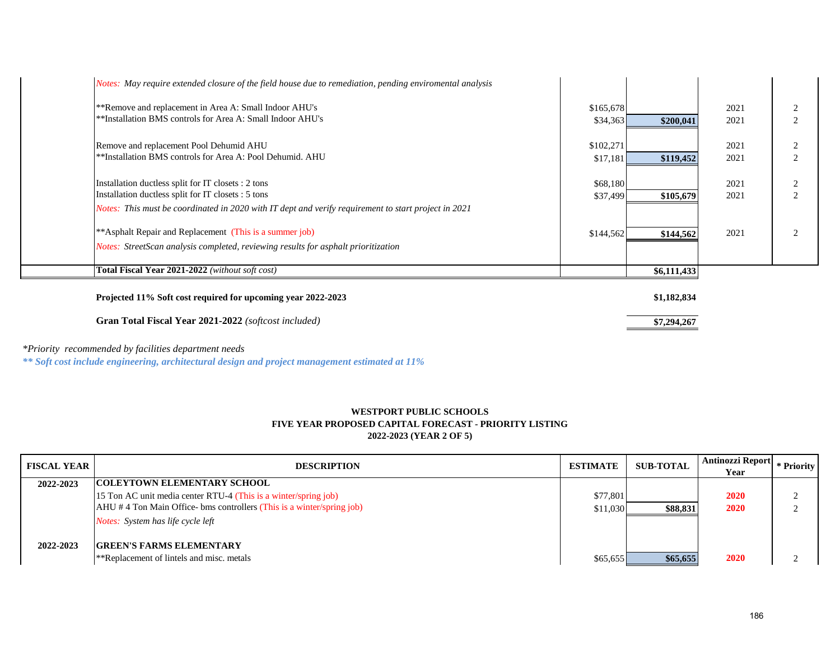| Notes: May require extended closure of the field house due to remediation, pending enviromental analysis |           |             |      |                |
|----------------------------------------------------------------------------------------------------------|-----------|-------------|------|----------------|
| **Remove and replacement in Area A: Small Indoor AHU's                                                   | \$165,678 |             | 2021 | $\overline{c}$ |
| **Installation BMS controls for Area A: Small Indoor AHU's                                               | \$34,363  | \$200,041   | 2021 | $\gamma$       |
| Remove and replacement Pool Dehumid AHU                                                                  | \$102,271 |             | 2021 | ↑              |
| **Installation BMS controls for Area A: Pool Dehumid. AHU                                                | \$17,181  | \$119,452   | 2021 | $\mathcal{D}$  |
| Installation ductless split for IT closets : 2 tons                                                      | \$68,180  |             | 2021 | $\overline{c}$ |
| Installation ductless split for IT closets : 5 tons                                                      | \$37,499  | \$105,679   | 2021 | $\gamma$       |
| Notes: This must be coordinated in 2020 with IT dept and verify requirement to start project in 2021     |           |             |      |                |
| **Asphalt Repair and Replacement (This is a summer job)                                                  | \$144,562 | \$144,562   | 2021 | $\bigcap$      |
| Notes: StreetScan analysis completed, reviewing results for asphalt prioritization                       |           |             |      |                |
| <b>Total Fiscal Year 2021-2022</b> (without soft cost)                                                   |           | \$6,111,433 |      |                |
| Projected 11% Soft cost required for upcoming year 2022-2023                                             |           | \$1,182,834 |      |                |
| Gran Total Fiscal Year 2021-2022 (softcost included)                                                     |           | \$7,294,267 |      |                |

*\*Priority recommended by facilities department needs*

*\*\* Soft cost include engineering, architectural design and project management estimated at 11%*

# **WESTPORT PUBLIC SCHOOLS FIVE YEAR PROPOSED CAPITAL FORECAST - PRIORITY LISTING 2022-2023 (YEAR 2 OF 5)**

| <b>FISCAL YEAR</b> | <b>DESCRIPTION</b>                                                           | <b>ESTIMATE</b> | <b>SUB-TOTAL</b> | Antinozzi Report<br>Year | * Priority |
|--------------------|------------------------------------------------------------------------------|-----------------|------------------|--------------------------|------------|
| 2022-2023          | <b>COLEYTOWN ELEMENTARY SCHOOL</b>                                           |                 |                  |                          |            |
|                    | 15 Ton AC unit media center RTU-4 (This is a winter/spring job)              | \$77,801        |                  | 2020                     |            |
|                    | $AHU \# 4$ Ton Main Office- bms controllers (This is a winter/spring job)    | \$11,030        | \$88,831         | 2020                     |            |
|                    | <i>Notes:</i> System has life cycle left                                     |                 |                  |                          |            |
| 2022-2023          | <b>GREEN'S FARMS ELEMENTARY</b><br>**Replacement of lintels and misc. metals | \$65,655        | \$65,655         | 2020                     |            |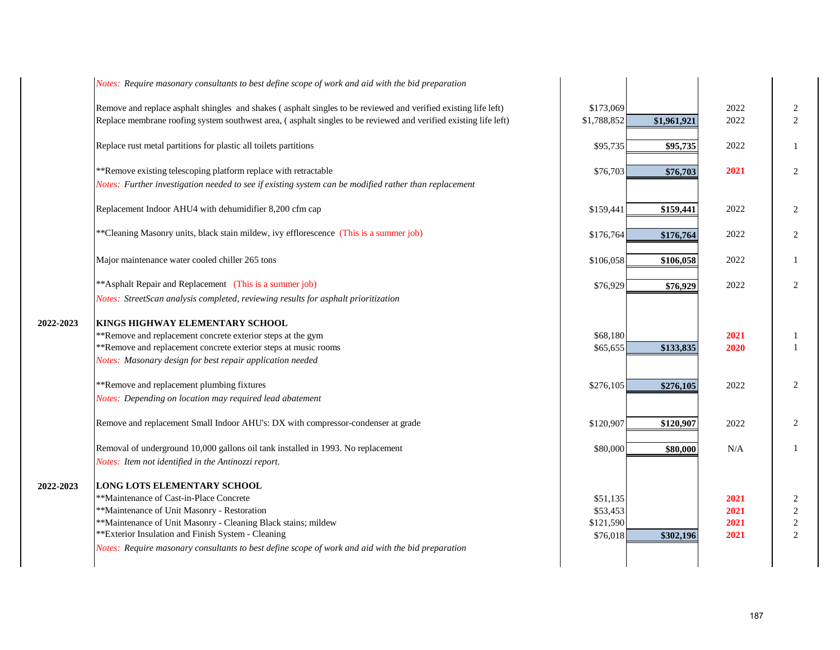|           | Notes: Require masonary consultants to best define scope of work and aid with the bid preparation                                                                                                                                                                                                                                                        |                                               |             |                              |                                            |
|-----------|----------------------------------------------------------------------------------------------------------------------------------------------------------------------------------------------------------------------------------------------------------------------------------------------------------------------------------------------------------|-----------------------------------------------|-------------|------------------------------|--------------------------------------------|
|           | Remove and replace asphalt shingles and shakes (asphalt singles to be reviewed and verified existing life left)<br>Replace membrane roofing system southwest area, (asphalt singles to be reviewed and verified existing life left)                                                                                                                      | \$173,069<br>\$1,788,852                      | \$1,961,921 | 2022<br>2022                 | $\overline{2}$<br>$\overline{2}$           |
|           | Replace rust metal partitions for plastic all toilets partitions                                                                                                                                                                                                                                                                                         | \$95,735                                      | \$95,735    | 2022                         | 1                                          |
|           | **Remove existing telescoping platform replace with retractable<br>Notes: Further investigation needed to see if existing system can be modified rather than replacement                                                                                                                                                                                 | \$76,703                                      | \$76,703    | 2021                         | $\overline{2}$                             |
|           | Replacement Indoor AHU4 with dehumidifier 8,200 cfm cap                                                                                                                                                                                                                                                                                                  | \$159,441                                     | \$159,441   | 2022                         | 2                                          |
|           | ** Cleaning Masonry units, black stain mildew, ivy efflorescence (This is a summer job)                                                                                                                                                                                                                                                                  | \$176,764                                     | \$176,764   | 2022                         | 2                                          |
|           | Major maintenance water cooled chiller 265 tons                                                                                                                                                                                                                                                                                                          | \$106,058                                     | \$106,058   | 2022                         | $\mathbf{1}$                               |
|           | ** Asphalt Repair and Replacement (This is a summer job)<br>Notes: StreetScan analysis completed, reviewing results for asphalt prioritization                                                                                                                                                                                                           | \$76,929                                      | \$76,929    | 2022                         | $\overline{2}$                             |
| 2022-2023 | KINGS HIGHWAY ELEMENTARY SCHOOL                                                                                                                                                                                                                                                                                                                          |                                               |             |                              |                                            |
|           | **Remove and replacement concrete exterior steps at the gym<br>**Remove and replacement concrete exterior steps at music rooms<br>Notes: Masonary design for best repair application needed                                                                                                                                                              | \$68,180<br>\$65,655                          | \$133,835   | 2021<br>2020                 | 1                                          |
|           | **Remove and replacement plumbing fixtures<br>Notes: Depending on location may required lead abatement                                                                                                                                                                                                                                                   | \$276,105                                     | \$276,105   | 2022                         | $\overline{2}$                             |
|           | Remove and replacement Small Indoor AHU's: DX with compressor-condenser at grade                                                                                                                                                                                                                                                                         | \$120,907                                     | \$120,907   | 2022                         | $\overline{2}$                             |
|           | Removal of underground 10,000 gallons oil tank installed in 1993. No replacement<br>Notes: Item not identified in the Antinozzi report.                                                                                                                                                                                                                  | \$80,000                                      | \$80,000    | N/A                          | $\mathbf{1}$                               |
| 2022-2023 | <b>LONG LOTS ELEMENTARY SCHOOL</b><br>**Maintenance of Cast-in-Place Concrete<br>**Maintenance of Unit Masonry - Restoration<br>**Maintenance of Unit Masonry - Cleaning Black stains; mildew<br>**Exterior Insulation and Finish System - Cleaning<br>Notes: Require masonary consultants to best define scope of work and aid with the bid preparation | \$51,135<br>\$53,453<br>\$121,590<br>\$76,018 | \$302,196   | 2021<br>2021<br>2021<br>2021 | 2<br>2<br>$\overline{c}$<br>$\overline{2}$ |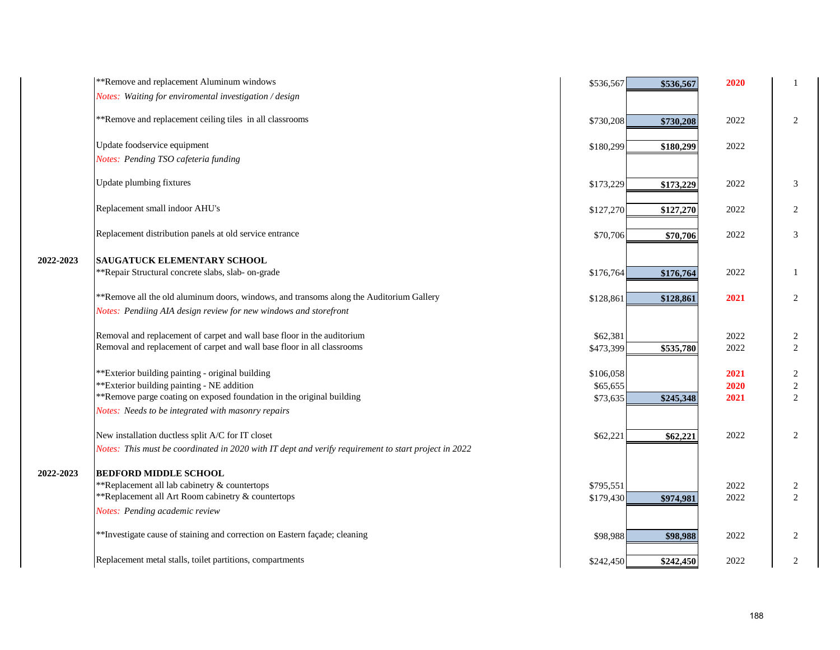|           | **Remove and replacement Aluminum windows                                                                                                                 | \$536,567             | \$536,567 | 2020         |                                    |
|-----------|-----------------------------------------------------------------------------------------------------------------------------------------------------------|-----------------------|-----------|--------------|------------------------------------|
|           | Notes: Waiting for enviromental investigation / design                                                                                                    |                       |           |              |                                    |
|           | **Remove and replacement ceiling tiles in all classrooms                                                                                                  | \$730,208             | \$730,208 | 2022         | $\overline{c}$                     |
|           | Update foodservice equipment                                                                                                                              | \$180,299             | \$180,299 | 2022         |                                    |
|           | Notes: Pending TSO cafeteria funding                                                                                                                      |                       |           |              |                                    |
|           | Update plumbing fixtures                                                                                                                                  | \$173,229             | \$173,229 | 2022         | 3                                  |
|           | Replacement small indoor AHU's                                                                                                                            | \$127,270             | \$127,270 | 2022         | $\overline{2}$                     |
|           | Replacement distribution panels at old service entrance                                                                                                   | \$70,706              | \$70,706  | 2022         | 3                                  |
| 2022-2023 | <b>SAUGATUCK ELEMENTARY SCHOOL</b>                                                                                                                        |                       |           |              |                                    |
|           | **Repair Structural concrete slabs, slab- on-grade                                                                                                        | \$176,764             | \$176,764 | 2022         | 1                                  |
|           | **Remove all the old aluminum doors, windows, and transoms along the Auditorium Gallery                                                                   | \$128,861             | \$128,861 | 2021         | $\overline{c}$                     |
|           | Notes: Pendiing AIA design review for new windows and storefront                                                                                          |                       |           |              |                                    |
|           | Removal and replacement of carpet and wall base floor in the auditorium<br>Removal and replacement of carpet and wall base floor in all classrooms        | \$62,381<br>\$473,399 | \$535,780 | 2022<br>2022 | $\overline{c}$<br>$\boldsymbol{2}$ |
|           | **Exterior building painting - original building                                                                                                          | \$106,058             |           | 2021         | $\boldsymbol{2}$                   |
|           | **Exterior building painting - NE addition                                                                                                                | \$65,655              |           | 2020         | $\overline{2}$                     |
|           | **Remove parge coating on exposed foundation in the original building                                                                                     | \$73,635              | \$245,348 | 2021         | $\mathbf{2}$                       |
|           | Notes: Needs to be integrated with masonry repairs                                                                                                        |                       |           |              |                                    |
|           | New installation ductless split A/C for IT closet<br>Notes: This must be coordinated in 2020 with IT dept and verify requirement to start project in 2022 | \$62,221              | \$62,221  | 2022         | 2                                  |
| 2022-2023 | <b>BEDFORD MIDDLE SCHOOL</b>                                                                                                                              |                       |           |              |                                    |
|           | **Replacement all lab cabinetry & countertops                                                                                                             | \$795,551             |           | 2022         | $\overline{c}$                     |
|           | **Replacement all Art Room cabinetry & countertops                                                                                                        | \$179,430             | \$974,981 | 2022         | $\overline{2}$                     |
|           | Notes: Pending academic review                                                                                                                            |                       |           |              |                                    |
|           | ** Investigate cause of staining and correction on Eastern façade; cleaning                                                                               | \$98,988              | \$98,988  | 2022         | 2                                  |
|           | Replacement metal stalls, toilet partitions, compartments                                                                                                 | \$242,450             | \$242,450 | 2022         | $\boldsymbol{2}$                   |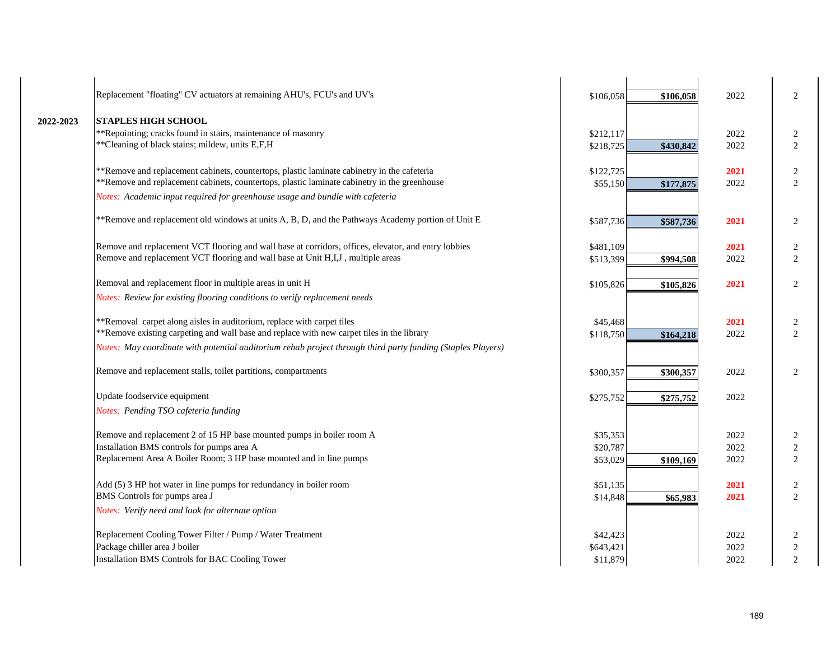|           | Replacement "floating" CV actuators at remaining AHU's, FCU's and UV's                                                                                                                      | \$106,058             | 2022<br>\$106,058         | 2              |
|-----------|---------------------------------------------------------------------------------------------------------------------------------------------------------------------------------------------|-----------------------|---------------------------|----------------|
| 2022-2023 | <b>STAPLES HIGH SCHOOL</b>                                                                                                                                                                  |                       |                           |                |
|           | **Repointing; cracks found in stairs, maintenance of masonry                                                                                                                                | \$212,117             | 2022                      | $\overline{c}$ |
|           | ** Cleaning of black stains; mildew, units E,F,H                                                                                                                                            | \$218,725             | 2022<br>\$430,842         | 2              |
|           | **Remove and replacement cabinets, countertops, plastic laminate cabinetry in the cafeteria<br>**Remove and replacement cabinets, countertops, plastic laminate cabinetry in the greenhouse | \$122,725<br>\$55,150 | 2021<br>2022<br>\$177,875 | 2<br>2         |
|           | Notes: Academic input required for greenhouse usage and bundle with cafeteria                                                                                                               |                       |                           |                |
|           | **Remove and replacement old windows at units A, B, D, and the Pathways Academy portion of Unit E                                                                                           | \$587,736             | 2021<br>\$587,736         | 2              |
|           |                                                                                                                                                                                             |                       |                           |                |
|           | Remove and replacement VCT flooring and wall base at corridors, offices, elevator, and entry lobbies                                                                                        | \$481,109             | 2021                      | 2              |
|           | Remove and replacement VCT flooring and wall base at Unit H,I,J, multiple areas                                                                                                             | \$513,399             | 2022<br>\$994,508         | 2              |
|           | Removal and replacement floor in multiple areas in unit H                                                                                                                                   | \$105,826             | 2021<br>\$105,826         | 2              |
|           | Notes: Review for existing flooring conditions to verify replacement needs                                                                                                                  |                       |                           |                |
|           | **Removal carpet along aisles in auditorium, replace with carpet tiles                                                                                                                      | \$45,468              | 2021                      | 2              |
|           | **Remove existing carpeting and wall base and replace with new carpet tiles in the library                                                                                                  | \$118,750             | 2022<br>\$164,218         | 2              |
|           | Notes: May coordinate with potential auditorium rehab project through third party funding (Staples Players)                                                                                 |                       |                           |                |
|           | Remove and replacement stalls, toilet partitions, compartments                                                                                                                              | \$300,357             | 2022<br>\$300,357         | 2              |
|           | Update foodservice equipment                                                                                                                                                                | \$275,752             | 2022<br>\$275,752         |                |
|           | Notes: Pending TSO cafeteria funding                                                                                                                                                        |                       |                           |                |
|           | Remove and replacement 2 of 15 HP base mounted pumps in boiler room A                                                                                                                       | \$35,353              | 2022                      | $\overline{2}$ |
|           | Installation BMS controls for pumps area A                                                                                                                                                  | \$20,787              | 2022                      | $\sqrt{2}$     |
|           | Replacement Area A Boiler Room; 3 HP base mounted and in line pumps                                                                                                                         | \$53,029              | 2022<br>\$109,169         | 2              |
|           | Add (5) 3 HP hot water in line pumps for redundancy in boiler room                                                                                                                          | \$51,135              | 2021                      | 2              |
|           | BMS Controls for pumps area J                                                                                                                                                               | \$14,848              | 2021<br>\$65,983          | 2              |
|           | Notes: Verify need and look for alternate option                                                                                                                                            |                       |                           |                |
|           | Replacement Cooling Tower Filter / Pump / Water Treatment                                                                                                                                   | \$42,423              | 2022                      | 2              |
|           | Package chiller area J boiler                                                                                                                                                               | \$643,421             | 2022                      | $\sqrt{2}$     |
|           | Installation BMS Controls for BAC Cooling Tower                                                                                                                                             | \$11,879              | 2022                      | $\overline{2}$ |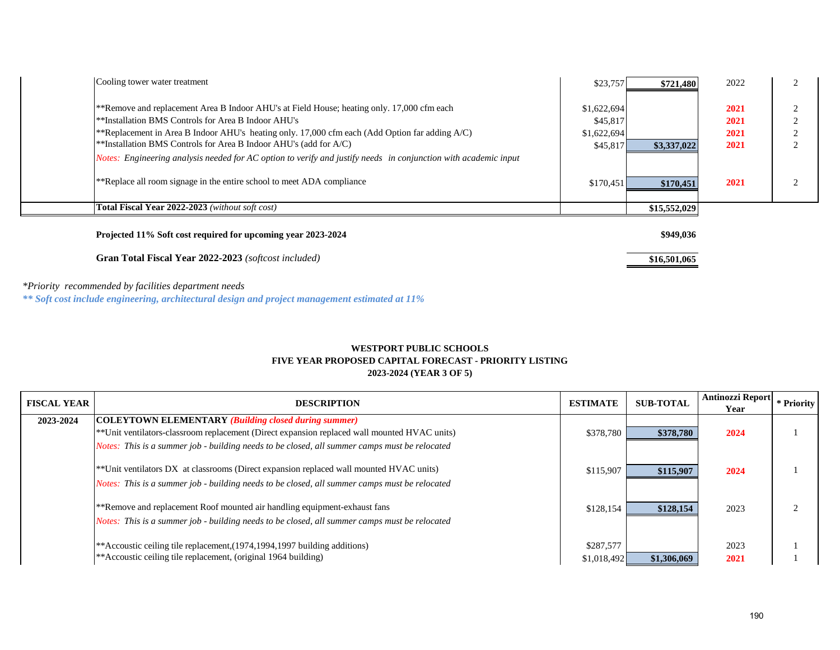| Cooling tower water treatment                                                                                   | \$23,757    | \$721,480    | 2022 |  |
|-----------------------------------------------------------------------------------------------------------------|-------------|--------------|------|--|
| **Remove and replacement Area B Indoor AHU's at Field House; heating only. 17,000 cfm each                      | \$1,622,694 |              | 2021 |  |
| **Installation BMS Controls for Area B Indoor AHU's                                                             | \$45,817    |              | 2021 |  |
| **Replacement in Area B Indoor AHU's heating only. 17,000 cfm each (Add Option far adding A/C)                  | \$1,622,694 |              | 2021 |  |
| **Installation BMS Controls for Area B Indoor AHU's (add for $A/C$ )                                            | \$45,817    | \$3,337,022  | 2021 |  |
| Notes: Engineering analysis needed for AC option to verify and justify needs in conjunction with academic input |             |              |      |  |
| **Replace all room signage in the entire school to meet ADA compliance                                          | \$170,451   | \$170,451    | 2021 |  |
| <b>Total Fiscal Year 2022-2023</b> (without soft cost)                                                          |             | \$15,552,029 |      |  |
| Projected 11% Soft cost required for upcoming year 2023-2024                                                    |             | \$949,036    |      |  |
| <b>Gran Total Fiscal Year 2022-2023</b> (softcost included)                                                     |             | \$16,501,065 |      |  |

*\*Priority recommended by facilities department needs*

*\*\* Soft cost include engineering, architectural design and project management estimated at 11%*

#### **2023-2024 (YEAR 3 OF 5) WESTPORT PUBLIC SCHOOLS FIVE YEAR PROPOSED CAPITAL FORECAST - PRIORITY LISTING**

| <b>FISCAL YEAR</b> | <b>DESCRIPTION</b>                                                                                                                                           | <b>ESTIMATE</b> | <b>SUB-TOTAL</b> | Antinozzi Report<br>Year | I * Priority |
|--------------------|--------------------------------------------------------------------------------------------------------------------------------------------------------------|-----------------|------------------|--------------------------|--------------|
| 2023-2024          | <b>COLEYTOWN ELEMENTARY (Building closed during summer)</b><br>** Unit ventilators-classroom replacement (Direct expansion replaced wall mounted HVAC units) | \$378,780       | \$378,780        | 2024                     |              |
|                    | Notes: This is a summer job - building needs to be closed, all summer camps must be relocated                                                                |                 |                  |                          |              |
|                    | **Unit ventilators DX at classrooms (Direct expansion replaced wall mounted HVAC units)                                                                      | \$115,907       | \$115,907        | 2024                     |              |
|                    | Notes: This is a summer job - building needs to be closed, all summer camps must be relocated                                                                |                 |                  |                          |              |
|                    | **Remove and replacement Roof mounted air handling equipment-exhaust fans                                                                                    | \$128,154       | \$128,154        | 2023                     |              |
|                    | Notes: This is a summer job - building needs to be closed, all summer camps must be relocated                                                                |                 |                  |                          |              |
|                    | ** Accoustic ceiling tile replacement, (1974, 1994, 1997 building additions)                                                                                 | \$287,577       |                  | 2023                     |              |
|                    | ** Accoustic ceiling tile replacement, (original 1964 building)                                                                                              | \$1,018,492     | \$1,306,069      | 2021                     |              |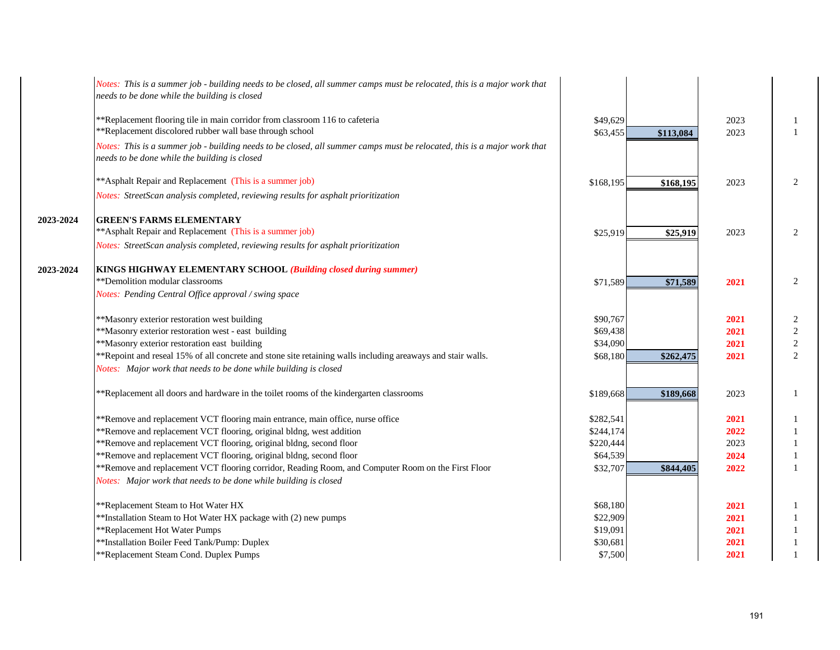|           | Notes: This is a summer job - building needs to be closed, all summer camps must be relocated, this is a major work that<br>needs to be done while the building is closed |                      |           |              |                    |
|-----------|---------------------------------------------------------------------------------------------------------------------------------------------------------------------------|----------------------|-----------|--------------|--------------------|
|           | **Replacement flooring tile in main corridor from classroom 116 to cafeteria<br>**Replacement discolored rubber wall base through school                                  | \$49,629<br>\$63,455 | \$113,084 | 2023<br>2023 | -1<br>$\mathbf{1}$ |
|           | Notes: This is a summer job - building needs to be closed, all summer camps must be relocated, this is a major work that<br>needs to be done while the building is closed |                      |           |              |                    |
|           | ** Asphalt Repair and Replacement (This is a summer job)                                                                                                                  | \$168,195            | \$168,195 | 2023         | 2                  |
|           | Notes: StreetScan analysis completed, reviewing results for asphalt prioritization                                                                                        |                      |           |              |                    |
| 2023-2024 | <b>GREEN'S FARMS ELEMENTARY</b>                                                                                                                                           |                      |           |              |                    |
|           | ** Asphalt Repair and Replacement (This is a summer job)                                                                                                                  | \$25,919             | \$25,919  | 2023         | 2                  |
|           | Notes: StreetScan analysis completed, reviewing results for asphalt prioritization                                                                                        |                      |           |              |                    |
| 2023-2024 | KINGS HIGHWAY ELEMENTARY SCHOOL (Building closed during summer)                                                                                                           |                      |           |              |                    |
|           | **Demolition modular classrooms                                                                                                                                           | \$71,589             | \$71,589  | 2021         | 2                  |
|           | Notes: Pending Central Office approval / swing space                                                                                                                      |                      |           |              |                    |
|           | **Masonry exterior restoration west building                                                                                                                              | \$90,767             |           | 2021         | $\overline{c}$     |
|           | **Masonry exterior restoration west - east building                                                                                                                       | \$69,438             |           | 2021         | $\overline{2}$     |
|           | **Masonry exterior restoration east building                                                                                                                              | \$34,090             |           | 2021         | $\sqrt{2}$         |
|           | **Repoint and reseal 15% of all concrete and stone site retaining walls including areaways and stair walls.                                                               | \$68,180             | \$262,475 | 2021         | 2                  |
|           | Notes: Major work that needs to be done while building is closed                                                                                                          |                      |           |              |                    |
|           | **Replacement all doors and hardware in the toilet rooms of the kindergarten classrooms                                                                                   | \$189,668            | \$189,668 | 2023         | $\mathbf{1}$       |
|           | **Remove and replacement VCT flooring main entrance, main office, nurse office                                                                                            | \$282,541            |           | 2021         | -1                 |
|           | **Remove and replacement VCT flooring, original bldng, west addition                                                                                                      | \$244,174            |           | 2022         | $\mathbf{1}$       |
|           | **Remove and replacement VCT flooring, original bldng, second floor                                                                                                       | \$220,444            |           | 2023         | $\mathbf{1}$       |
|           | **Remove and replacement VCT flooring, original bldng, second floor                                                                                                       | \$64,539             |           | 2024         |                    |
|           | **Remove and replacement VCT flooring corridor, Reading Room, and Computer Room on the First Floor                                                                        | \$32,707             | \$844,405 | 2022         | -1                 |
|           | Notes: Major work that needs to be done while building is closed                                                                                                          |                      |           |              |                    |
|           | **Replacement Steam to Hot Water HX                                                                                                                                       | \$68,180             |           | 2021         |                    |
|           | **Installation Steam to Hot Water HX package with (2) new pumps                                                                                                           | \$22,909             |           | 2021         | $\mathbf{1}$       |
|           | **Replacement Hot Water Pumps                                                                                                                                             | \$19,091             |           | 2021         | -1                 |
|           | **Installation Boiler Feed Tank/Pump: Duplex                                                                                                                              | \$30,681             |           | 2021         | $\mathbf{1}$       |
|           | **Replacement Steam Cond. Duplex Pumps                                                                                                                                    | \$7,500              |           | 2021         |                    |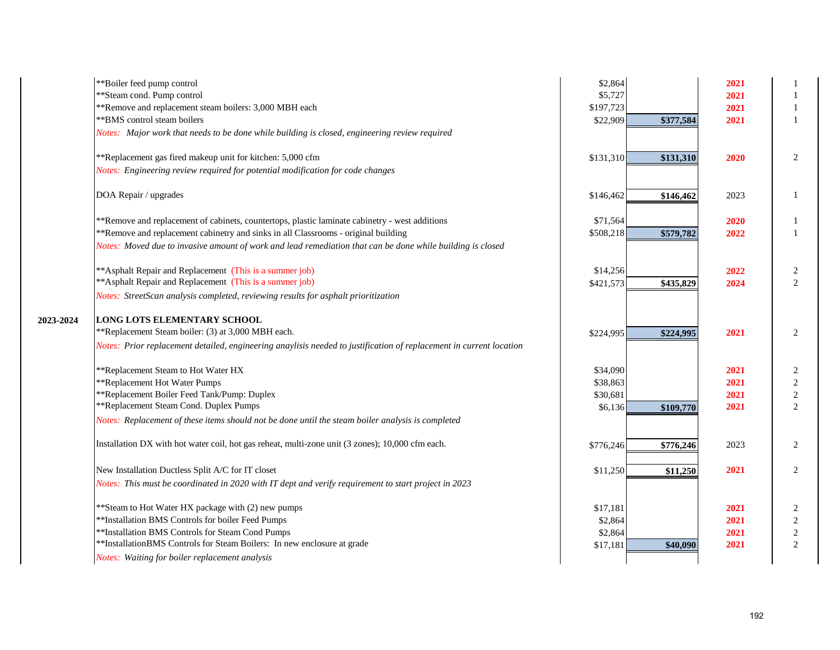|           | **Boiler feed pump control                                                                                          | \$2,864   |           | 2021 |                |
|-----------|---------------------------------------------------------------------------------------------------------------------|-----------|-----------|------|----------------|
|           | ** Steam cond. Pump control                                                                                         | \$5,727   |           | 2021 | 1              |
|           | **Remove and replacement steam boilers: 3,000 MBH each                                                              | \$197,723 |           | 2021 | 1              |
|           | ** BMS control steam boilers                                                                                        | \$22,909  | \$377,584 | 2021 | $\mathbf{1}$   |
|           | Notes: Major work that needs to be done while building is closed, engineering review required                       |           |           |      |                |
|           | **Replacement gas fired makeup unit for kitchen: 5,000 cfm                                                          | \$131,310 | \$131,310 | 2020 | 2              |
|           | Notes: Engineering review required for potential modification for code changes                                      |           |           |      |                |
|           | DOA Repair / upgrades                                                                                               | \$146,462 | \$146,462 | 2023 | 1              |
|           | **Remove and replacement of cabinets, countertops, plastic laminate cabinetry - west additions                      | \$71,564  |           | 2020 | 1              |
|           | **Remove and replacement cabinetry and sinks in all Classrooms - original building                                  | \$508,218 | \$579,782 | 2022 | $\mathbf{1}$   |
|           | Notes: Moved due to invasive amount of work and lead remediation that can be done while building is closed          |           |           |      |                |
|           | ** Asphalt Repair and Replacement (This is a summer job)                                                            | \$14,256  |           | 2022 | $\overline{c}$ |
|           | ** Asphalt Repair and Replacement (This is a summer job)                                                            | \$421,573 | \$435,829 | 2024 | $\overline{2}$ |
|           | Notes: StreetScan analysis completed, reviewing results for asphalt prioritization                                  |           |           |      |                |
| 2023-2024 | <b>LONG LOTS ELEMENTARY SCHOOL</b>                                                                                  |           |           |      |                |
|           | **Replacement Steam boiler: (3) at 3,000 MBH each.                                                                  | \$224,995 | \$224,995 | 2021 | 2              |
|           | Notes: Prior replacement detailed, engineering anaylisis needed to justification of replacement in current location |           |           |      |                |
|           | **Replacement Steam to Hot Water HX                                                                                 | \$34,090  |           | 2021 | 2              |
|           | **Replacement Hot Water Pumps                                                                                       | \$38,863  |           | 2021 | $\sqrt{2}$     |
|           | **Replacement Boiler Feed Tank/Pump: Duplex                                                                         | \$30,681  |           | 2021 | $\sqrt{2}$     |
|           | **Replacement Steam Cond. Duplex Pumps                                                                              | \$6,136   | \$109,770 | 2021 | $\overline{2}$ |
|           | Notes: Replacement of these items should not be done until the steam boiler analysis is completed                   |           |           |      |                |
|           | Installation DX with hot water coil, hot gas reheat, multi-zone unit (3 zones); 10,000 cfm each.                    | \$776,246 | \$776,246 | 2023 | 2              |
|           | New Installation Ductless Split A/C for IT closet                                                                   | \$11,250  | \$11,250  | 2021 | 2              |
|           | Notes: This must be coordinated in 2020 with IT dept and verify requirement to start project in 2023                |           |           |      |                |
|           | ** Steam to Hot Water HX package with (2) new pumps                                                                 | \$17,181  |           | 2021 | 2              |
|           | **Installation BMS Controls for boiler Feed Pumps                                                                   | \$2,864   |           | 2021 | $\sqrt{2}$     |
|           | **Installation BMS Controls for Steam Cond Pumps                                                                    | \$2,864   |           | 2021 | $\sqrt{2}$     |
|           | **InstallationBMS Controls for Steam Boilers: In new enclosure at grade                                             | \$17,181  | \$40,090  | 2021 | $\overline{c}$ |
|           | Notes: Waiting for boiler replacement analysis                                                                      |           |           |      |                |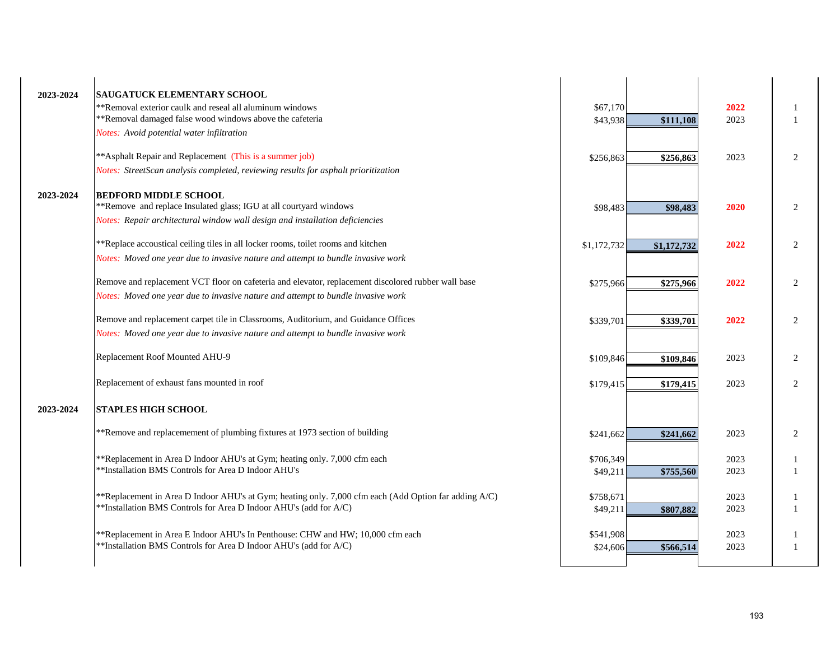| 2023-2024 | <b>SAUGATUCK ELEMENTARY SCHOOL</b>                                                                    |             |             |      |                |
|-----------|-------------------------------------------------------------------------------------------------------|-------------|-------------|------|----------------|
|           | **Removal exterior caulk and reseal all aluminum windows                                              | \$67,170    |             | 2022 |                |
|           | **Removal damaged false wood windows above the cafeteria                                              | \$43,938    | \$111,108   | 2023 |                |
|           | Notes: Avoid potential water infiltration                                                             |             |             |      |                |
|           | ** Asphalt Repair and Replacement (This is a summer job)                                              | \$256,863   | \$256,863   | 2023 | 2              |
|           | Notes: StreetScan analysis completed, reviewing results for asphalt prioritization                    |             |             |      |                |
| 2023-2024 | <b>BEDFORD MIDDLE SCHOOL</b>                                                                          |             |             |      |                |
|           | **Remove and replace Insulated glass; IGU at all courtyard windows                                    | \$98,483    | \$98,483    | 2020 | $\overline{c}$ |
|           | Notes: Repair architectural window wall design and installation deficiencies                          |             |             |      |                |
|           | **Replace accoustical ceiling tiles in all locker rooms, toilet rooms and kitchen                     | \$1,172,732 | \$1,172,732 | 2022 | 2              |
|           | Notes: Moved one year due to invasive nature and attempt to bundle invasive work                      |             |             |      |                |
|           | Remove and replacement VCT floor on cafeteria and elevator, replacement discolored rubber wall base   | \$275,966   | \$275,966   | 2022 | 2              |
|           | Notes: Moved one year due to invasive nature and attempt to bundle invasive work                      |             |             |      |                |
|           | Remove and replacement carpet tile in Classrooms, Auditorium, and Guidance Offices                    | \$339,701   | \$339,701   | 2022 | 2              |
|           | Notes: Moved one year due to invasive nature and attempt to bundle invasive work                      |             |             |      |                |
|           | Replacement Roof Mounted AHU-9                                                                        | \$109,846   | \$109,846   | 2023 | 2              |
|           | Replacement of exhaust fans mounted in roof                                                           | \$179,415   | \$179,415   | 2023 | $\overline{c}$ |
| 2023-2024 | <b>STAPLES HIGH SCHOOL</b>                                                                            |             |             |      |                |
|           | **Remove and replacemement of plumbing fixtures at 1973 section of building                           | \$241,662   | \$241,662   | 2023 | 2              |
|           | **Replacement in Area D Indoor AHU's at Gym; heating only. 7,000 cfm each                             | \$706,349   |             | 2023 |                |
|           | **Installation BMS Controls for Area D Indoor AHU's                                                   | \$49,211    | \$755,560   | 2023 |                |
|           | **Replacement in Area D Indoor AHU's at Gym; heating only. 7,000 cfm each (Add Option far adding A/C) | \$758,671   |             | 2023 |                |
|           | **Installation BMS Controls for Area D Indoor AHU's (add for A/C)                                     | \$49,211    | \$807,882   | 2023 |                |
|           | **Replacement in Area E Indoor AHU's In Penthouse: CHW and HW; 10,000 cfm each                        | \$541,908   |             | 2023 |                |
|           | **Installation BMS Controls for Area D Indoor AHU's (add for A/C)                                     | \$24,606    | \$566,514   | 2023 |                |
|           |                                                                                                       |             |             |      |                |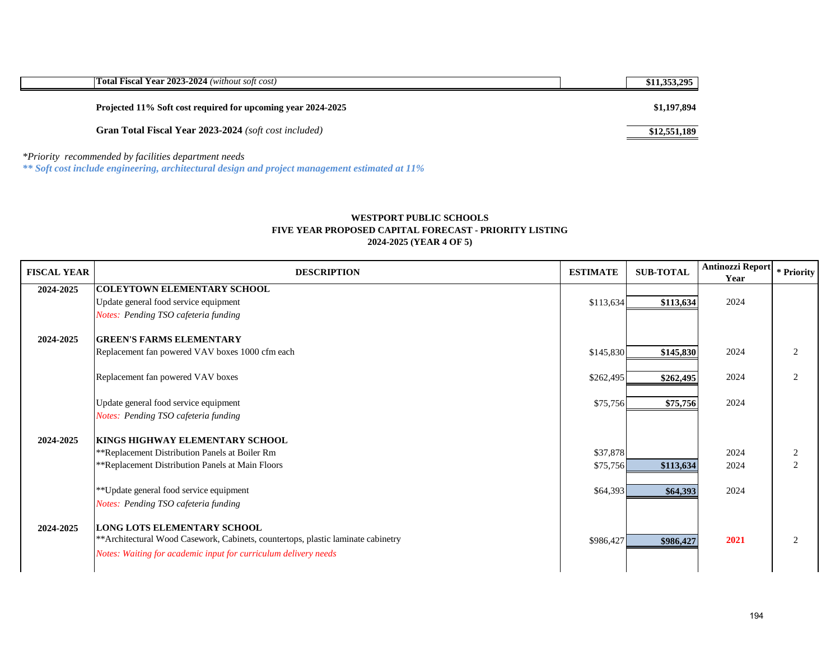| <b>Total Fiscal Year 2023-2024</b> (without soft cost)                                                             | \$11,353,295 |
|--------------------------------------------------------------------------------------------------------------------|--------------|
| Projected 11% Soft cost required for upcoming year 2024-2025                                                       | \$1,197,894  |
| <b>Gran Total Fiscal Year 2023-2024</b> (soft cost included)                                                       | \$12,551,189 |
| $*D$ is originated and $d$ and $d$ and $d$ and $d$ and $d$ and $d$ and $d$ and $d$ and $d$ and $d$ and $d$ and $d$ |              |

*\*Priority recommended by facilities department needs*

*\*\* Soft cost include engineering, architectural design and project management estimated at 11%*

# **FIVE YEAR PROPOSED CAPITAL FORECAST - PRIORITY LISTING 2024-2025 (YEAR 4 OF 5) WESTPORT PUBLIC SCHOOLS**

| <b>FISCAL YEAR</b> | <b>DESCRIPTION</b>                                                                | <b>ESTIMATE</b> | <b>SUB-TOTAL</b> | Antinozzi Report<br>Year | * Priority |
|--------------------|-----------------------------------------------------------------------------------|-----------------|------------------|--------------------------|------------|
| 2024-2025          | <b>COLEYTOWN ELEMENTARY SCHOOL</b>                                                |                 |                  |                          |            |
|                    | Update general food service equipment                                             | \$113,634       | \$113,634        | 2024                     |            |
|                    | Notes: Pending TSO cafeteria funding                                              |                 |                  |                          |            |
|                    |                                                                                   |                 |                  |                          |            |
| 2024-2025          | <b>GREEN'S FARMS ELEMENTARY</b>                                                   |                 |                  |                          |            |
|                    | Replacement fan powered VAV boxes 1000 cfm each                                   | \$145,830       | \$145,830        | 2024                     | 2          |
|                    |                                                                                   |                 |                  |                          |            |
|                    | Replacement fan powered VAV boxes                                                 | \$262,495       | \$262,495        | 2024                     | 2          |
|                    |                                                                                   |                 |                  |                          |            |
|                    | Update general food service equipment                                             | \$75,756        | \$75,756         | 2024                     |            |
|                    | Notes: Pending TSO cafeteria funding                                              |                 |                  |                          |            |
| 2024-2025          | KINGS HIGHWAY ELEMENTARY SCHOOL                                                   |                 |                  |                          |            |
|                    | **Replacement Distribution Panels at Boiler Rm                                    | \$37,878        |                  | 2024                     | 2          |
|                    | **Replacement Distribution Panels at Main Floors                                  | \$75,756        |                  | 2024                     | 2          |
|                    |                                                                                   |                 | \$113,634        |                          |            |
|                    | ** Update general food service equipment                                          | \$64,393        | \$64,393         | 2024                     |            |
|                    | Notes: Pending TSO cafeteria funding                                              |                 |                  |                          |            |
|                    |                                                                                   |                 |                  |                          |            |
| 2024-2025          | <b>LONG LOTS ELEMENTARY SCHOOL</b>                                                |                 |                  |                          |            |
|                    | ** Architectural Wood Casework, Cabinets, countertops, plastic laminate cabinetry | \$986,427       | \$986,427        | 2021                     | 2          |
|                    | Notes: Waiting for academic input for curriculum delivery needs                   |                 |                  |                          |            |
|                    |                                                                                   |                 |                  |                          |            |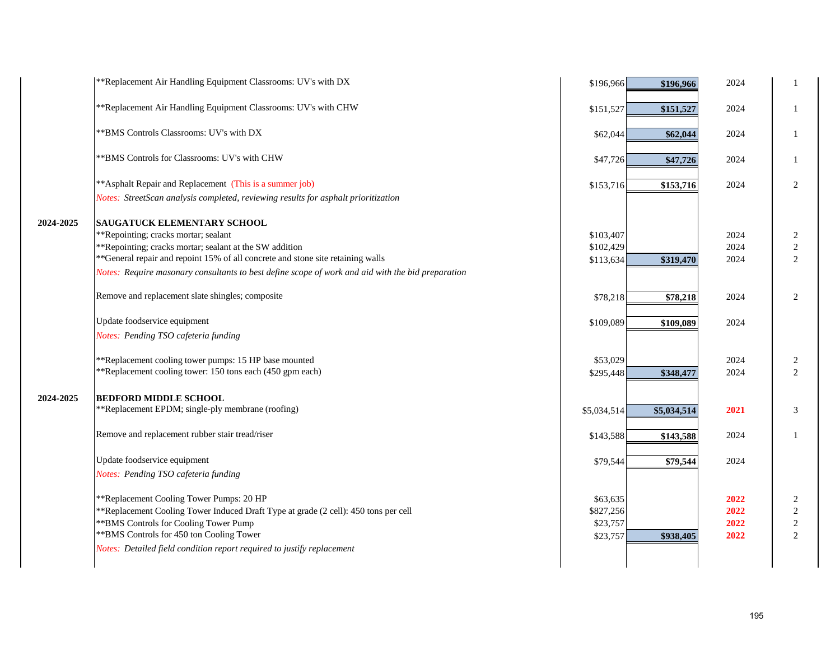| **Replacement Air Handling Equipment Classrooms: UV's with CHW<br>2024<br>$\mathbf{1}$<br>\$151,527<br>\$151,527<br>** BMS Controls Classrooms: UV's with DX<br>2024<br>-1<br>\$62,044<br>\$62,044<br>** BMS Controls for Classrooms: UV's with CHW<br>2024<br>-1<br>\$47,726<br>\$47,726<br>** Asphalt Repair and Replacement (This is a summer job)<br>2<br>2024<br>\$153,716<br>\$153,716<br>Notes: StreetScan analysis completed, reviewing results for asphalt prioritization<br>SAUGATUCK ELEMENTARY SCHOOL<br>2024-2025<br>**Repointing; cracks mortar; sealant<br>\$103,407<br>2024<br>2<br>**Repointing; cracks mortar; sealant at the SW addition<br>2024<br>$\sqrt{2}$<br>\$102,429<br>**General repair and repoint 15% of all concrete and stone site retaining walls<br>2<br>2024<br>\$319,470<br>\$113,634<br>Notes: Require masonary consultants to best define scope of work and aid with the bid preparation<br>Remove and replacement slate shingles; composite<br>2024<br>2<br>\$78,218<br>\$78,218<br>Update foodservice equipment<br>2024<br>\$109,089<br>\$109,089<br>Notes: Pending TSO cafeteria funding |
|----------------------------------------------------------------------------------------------------------------------------------------------------------------------------------------------------------------------------------------------------------------------------------------------------------------------------------------------------------------------------------------------------------------------------------------------------------------------------------------------------------------------------------------------------------------------------------------------------------------------------------------------------------------------------------------------------------------------------------------------------------------------------------------------------------------------------------------------------------------------------------------------------------------------------------------------------------------------------------------------------------------------------------------------------------------------------------------------------------------------------------|
|                                                                                                                                                                                                                                                                                                                                                                                                                                                                                                                                                                                                                                                                                                                                                                                                                                                                                                                                                                                                                                                                                                                                  |
|                                                                                                                                                                                                                                                                                                                                                                                                                                                                                                                                                                                                                                                                                                                                                                                                                                                                                                                                                                                                                                                                                                                                  |
|                                                                                                                                                                                                                                                                                                                                                                                                                                                                                                                                                                                                                                                                                                                                                                                                                                                                                                                                                                                                                                                                                                                                  |
|                                                                                                                                                                                                                                                                                                                                                                                                                                                                                                                                                                                                                                                                                                                                                                                                                                                                                                                                                                                                                                                                                                                                  |
|                                                                                                                                                                                                                                                                                                                                                                                                                                                                                                                                                                                                                                                                                                                                                                                                                                                                                                                                                                                                                                                                                                                                  |
|                                                                                                                                                                                                                                                                                                                                                                                                                                                                                                                                                                                                                                                                                                                                                                                                                                                                                                                                                                                                                                                                                                                                  |
|                                                                                                                                                                                                                                                                                                                                                                                                                                                                                                                                                                                                                                                                                                                                                                                                                                                                                                                                                                                                                                                                                                                                  |
|                                                                                                                                                                                                                                                                                                                                                                                                                                                                                                                                                                                                                                                                                                                                                                                                                                                                                                                                                                                                                                                                                                                                  |
|                                                                                                                                                                                                                                                                                                                                                                                                                                                                                                                                                                                                                                                                                                                                                                                                                                                                                                                                                                                                                                                                                                                                  |
|                                                                                                                                                                                                                                                                                                                                                                                                                                                                                                                                                                                                                                                                                                                                                                                                                                                                                                                                                                                                                                                                                                                                  |
|                                                                                                                                                                                                                                                                                                                                                                                                                                                                                                                                                                                                                                                                                                                                                                                                                                                                                                                                                                                                                                                                                                                                  |
|                                                                                                                                                                                                                                                                                                                                                                                                                                                                                                                                                                                                                                                                                                                                                                                                                                                                                                                                                                                                                                                                                                                                  |
|                                                                                                                                                                                                                                                                                                                                                                                                                                                                                                                                                                                                                                                                                                                                                                                                                                                                                                                                                                                                                                                                                                                                  |
| **Replacement cooling tower pumps: 15 HP base mounted<br>\$53,029<br>2024<br>2                                                                                                                                                                                                                                                                                                                                                                                                                                                                                                                                                                                                                                                                                                                                                                                                                                                                                                                                                                                                                                                   |
| **Replacement cooling tower: 150 tons each (450 gpm each)<br>2<br>2024<br>\$295,448<br>\$348,477                                                                                                                                                                                                                                                                                                                                                                                                                                                                                                                                                                                                                                                                                                                                                                                                                                                                                                                                                                                                                                 |
| 2024-2025<br><b>BEDFORD MIDDLE SCHOOL</b>                                                                                                                                                                                                                                                                                                                                                                                                                                                                                                                                                                                                                                                                                                                                                                                                                                                                                                                                                                                                                                                                                        |
| **Replacement EPDM; single-ply membrane (roofing)<br>2021<br>3<br>\$5,034,514<br>\$5,034,514                                                                                                                                                                                                                                                                                                                                                                                                                                                                                                                                                                                                                                                                                                                                                                                                                                                                                                                                                                                                                                     |
| Remove and replacement rubber stair tread/riser<br>2024<br>$\mathbf{1}$<br>\$143,588<br>\$143,588                                                                                                                                                                                                                                                                                                                                                                                                                                                                                                                                                                                                                                                                                                                                                                                                                                                                                                                                                                                                                                |
| Update foodservice equipment<br>2024<br>\$79,544<br>\$79,544                                                                                                                                                                                                                                                                                                                                                                                                                                                                                                                                                                                                                                                                                                                                                                                                                                                                                                                                                                                                                                                                     |
| Notes: Pending TSO cafeteria funding                                                                                                                                                                                                                                                                                                                                                                                                                                                                                                                                                                                                                                                                                                                                                                                                                                                                                                                                                                                                                                                                                             |
| **Replacement Cooling Tower Pumps: 20 HP<br>\$63,635<br>2022<br>2                                                                                                                                                                                                                                                                                                                                                                                                                                                                                                                                                                                                                                                                                                                                                                                                                                                                                                                                                                                                                                                                |
| **Replacement Cooling Tower Induced Draft Type at grade (2 cell): 450 tons per cell<br>$\sqrt{2}$<br>2022<br>\$827,256                                                                                                                                                                                                                                                                                                                                                                                                                                                                                                                                                                                                                                                                                                                                                                                                                                                                                                                                                                                                           |
| ** BMS Controls for Cooling Tower Pump<br>$\sqrt{2}$<br>\$23,757<br>2022                                                                                                                                                                                                                                                                                                                                                                                                                                                                                                                                                                                                                                                                                                                                                                                                                                                                                                                                                                                                                                                         |
| ** BMS Controls for 450 ton Cooling Tower<br>$\overline{2}$<br>2022<br>\$23,757<br>\$938,405                                                                                                                                                                                                                                                                                                                                                                                                                                                                                                                                                                                                                                                                                                                                                                                                                                                                                                                                                                                                                                     |
|                                                                                                                                                                                                                                                                                                                                                                                                                                                                                                                                                                                                                                                                                                                                                                                                                                                                                                                                                                                                                                                                                                                                  |
| Notes: Detailed field condition report required to justify replacement                                                                                                                                                                                                                                                                                                                                                                                                                                                                                                                                                                                                                                                                                                                                                                                                                                                                                                                                                                                                                                                           |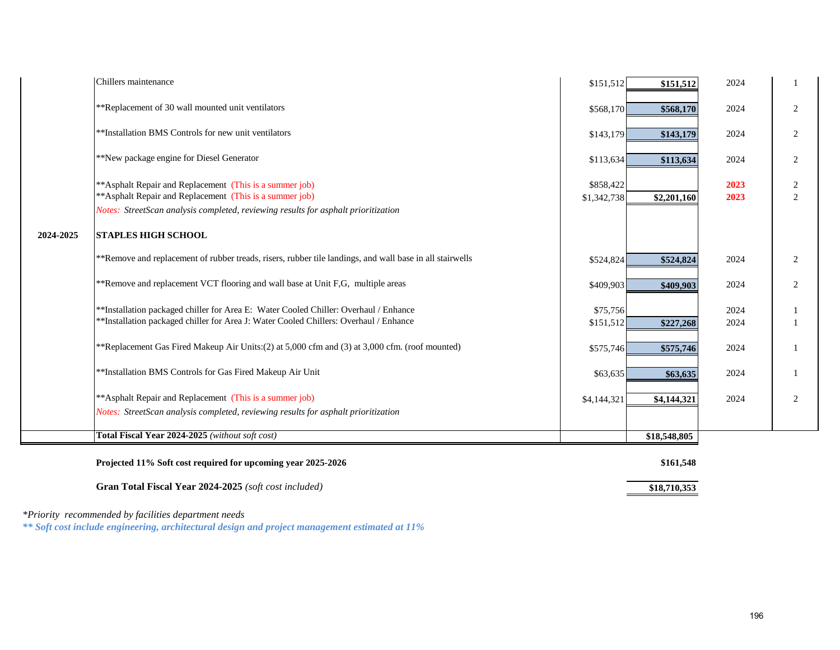|           | Projected 11% Soft cost required for upcoming year 2025-2026                                                        |                          | \$161,548    |              |                     |
|-----------|---------------------------------------------------------------------------------------------------------------------|--------------------------|--------------|--------------|---------------------|
|           | Total Fiscal Year 2024-2025 (without soft cost)                                                                     |                          | \$18,548,805 |              |                     |
|           | Notes: StreetScan analysis completed, reviewing results for asphalt prioritization                                  |                          |              |              |                     |
|           | ** Asphalt Repair and Replacement (This is a summer job)                                                            | \$4,144,321              | \$4,144,321  | 2024         | 2                   |
|           | **Installation BMS Controls for Gas Fired Makeup Air Unit                                                           | \$63,635                 | \$63,635     | 2024         |                     |
|           | **Replacement Gas Fired Makeup Air Units: (2) at 5,000 cfm and (3) at 3,000 cfm. (roof mounted)                     | \$575,746                | \$575,746    | 2024         |                     |
|           | **Installation packaged chiller for Area J: Water Cooled Chillers: Overhaul / Enhance                               | \$151,512                | \$227,268    | 2024         |                     |
|           | **Installation packaged chiller for Area E: Water Cooled Chiller: Overhaul / Enhance                                | \$75,756                 |              | 2024         |                     |
|           | **Remove and replacement VCT flooring and wall base at Unit F,G, multiple areas                                     | \$409,903                | \$409,903    | 2024         | $\mathbf{2}$        |
|           | **Remove and replacement of rubber treads, risers, rubber tile landings, and wall base in all stairwells            | \$524,824                | \$524,824    | 2024         | 2                   |
| 2024-2025 | <b>STAPLES HIGH SCHOOL</b>                                                                                          |                          |              |              |                     |
|           | Notes: StreetScan analysis completed, reviewing results for asphalt prioritization                                  |                          |              |              |                     |
|           | **Asphalt Repair and Replacement (This is a summer job)<br>** Asphalt Repair and Replacement (This is a summer job) | \$858,422<br>\$1,342,738 | \$2,201,160  | 2023<br>2023 | $\overline{c}$<br>2 |
|           |                                                                                                                     |                          |              |              |                     |
|           | **New package engine for Diesel Generator                                                                           | \$113,634                | \$113,634    | 2024         | 2                   |
|           | **Installation BMS Controls for new unit ventilators                                                                | \$143,179                | \$143,179    | 2024         | 2                   |
|           | **Replacement of 30 wall mounted unit ventilators                                                                   | \$568,170                | \$568,170    | 2024         | $\mathfrak{2}$      |
|           | Chillers maintenance                                                                                                | \$151,512                | \$151,512    | 2024         |                     |

**Gran Total Fiscal Year 2024-2025** (*soft cost included*) **\$18,710,353** 

*\*Priority recommended by facilities department needs*

*\*\* Soft cost include engineering, architectural design and project management estimated at 11%*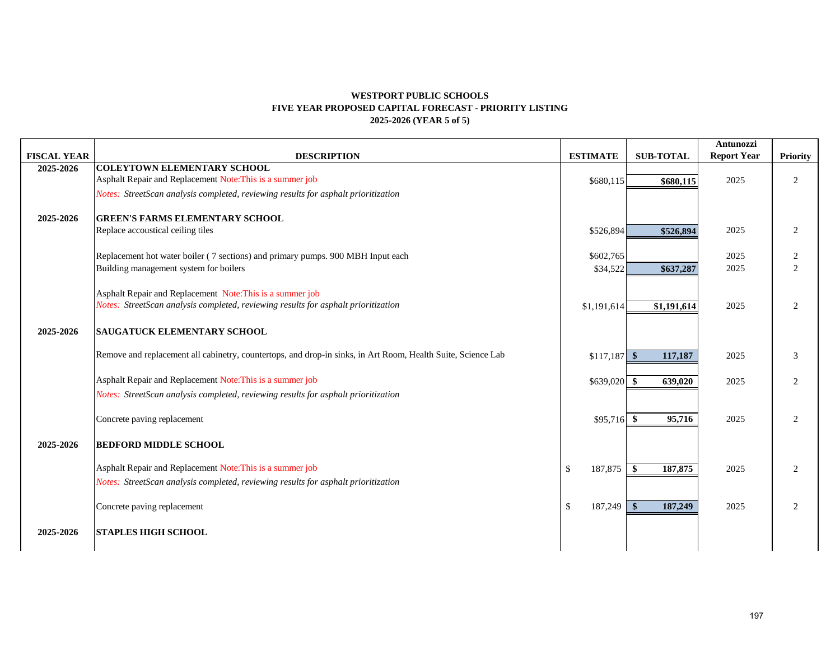# **WESTPORT PUBLIC SCHOOLS FIVE YEAR PROPOSED CAPITAL FORECAST - PRIORITY LISTING 2025-2026 (YEAR 5 of 5)**

|                    |                                                                                                                           |                         |                          | Antunozzi          |                     |
|--------------------|---------------------------------------------------------------------------------------------------------------------------|-------------------------|--------------------------|--------------------|---------------------|
| <b>FISCAL YEAR</b> | <b>DESCRIPTION</b>                                                                                                        | <b>ESTIMATE</b>         | <b>SUB-TOTAL</b>         | <b>Report Year</b> | Priority            |
| 2025-2026          | <b>COLEYTOWN ELEMENTARY SCHOOL</b>                                                                                        |                         |                          |                    |                     |
|                    | Asphalt Repair and Replacement Note: This is a summer job                                                                 | \$680,115               | \$680,115                | 2025               | $\overline{2}$      |
|                    | Notes: StreetScan analysis completed, reviewing results for asphalt prioritization                                        |                         |                          |                    |                     |
|                    |                                                                                                                           |                         |                          |                    |                     |
| 2025-2026          | <b>GREEN'S FARMS ELEMENTARY SCHOOL</b>                                                                                    |                         |                          |                    |                     |
|                    | Replace accoustical ceiling tiles                                                                                         | \$526,894               | \$526,894                | 2025               | 2                   |
|                    |                                                                                                                           |                         |                          |                    |                     |
|                    | Replacement hot water boiler (7 sections) and primary pumps. 900 MBH Input each<br>Building management system for boilers | \$602,765               |                          | 2025<br>2025       | 2<br>$\overline{2}$ |
|                    |                                                                                                                           | \$34,522                | \$637,287                |                    |                     |
|                    | Asphalt Repair and Replacement Note: This is a summer job                                                                 |                         |                          |                    |                     |
|                    | Notes: StreetScan analysis completed, reviewing results for asphalt prioritization                                        | \$1,191,614             | \$1,191,614              | 2025               | 2                   |
|                    |                                                                                                                           |                         |                          |                    |                     |
| 2025-2026          | <b>SAUGATUCK ELEMENTARY SCHOOL</b>                                                                                        |                         |                          |                    |                     |
|                    |                                                                                                                           |                         |                          |                    |                     |
|                    | Remove and replacement all cabinetry, countertops, and drop-in sinks, in Art Room, Health Suite, Science Lab              | $$117,187$ \\$          | 117,187                  | 2025               | 3                   |
|                    |                                                                                                                           |                         |                          |                    |                     |
|                    | Asphalt Repair and Replacement Note: This is a summer job                                                                 | $$639,020$ \$           | 639,020                  | 2025               | 2                   |
|                    | Notes: StreetScan analysis completed, reviewing results for asphalt prioritization                                        |                         |                          |                    |                     |
|                    |                                                                                                                           |                         |                          |                    |                     |
|                    | Concrete paving replacement                                                                                               | $$95,716$ \\$           | 95,716                   | 2025               | 2                   |
|                    |                                                                                                                           |                         |                          |                    |                     |
| 2025-2026          | <b>BEDFORD MIDDLE SCHOOL</b>                                                                                              |                         |                          |                    |                     |
|                    | Asphalt Repair and Replacement Note: This is a summer job                                                                 | 187,875                 | $\mathbf{s}$             | 2025               |                     |
|                    |                                                                                                                           | $\mathbb{S}$            | 187,875                  |                    | 2                   |
|                    | Notes: StreetScan analysis completed, reviewing results for asphalt prioritization                                        |                         |                          |                    |                     |
|                    | Concrete paving replacement                                                                                               | $\mathbb{S}$<br>187,249 | $\mathbf{\$}$<br>187,249 | 2025               | 2                   |
|                    |                                                                                                                           |                         |                          |                    |                     |
| 2025-2026          | <b>STAPLES HIGH SCHOOL</b>                                                                                                |                         |                          |                    |                     |
|                    |                                                                                                                           |                         |                          |                    |                     |
|                    |                                                                                                                           |                         |                          |                    |                     |